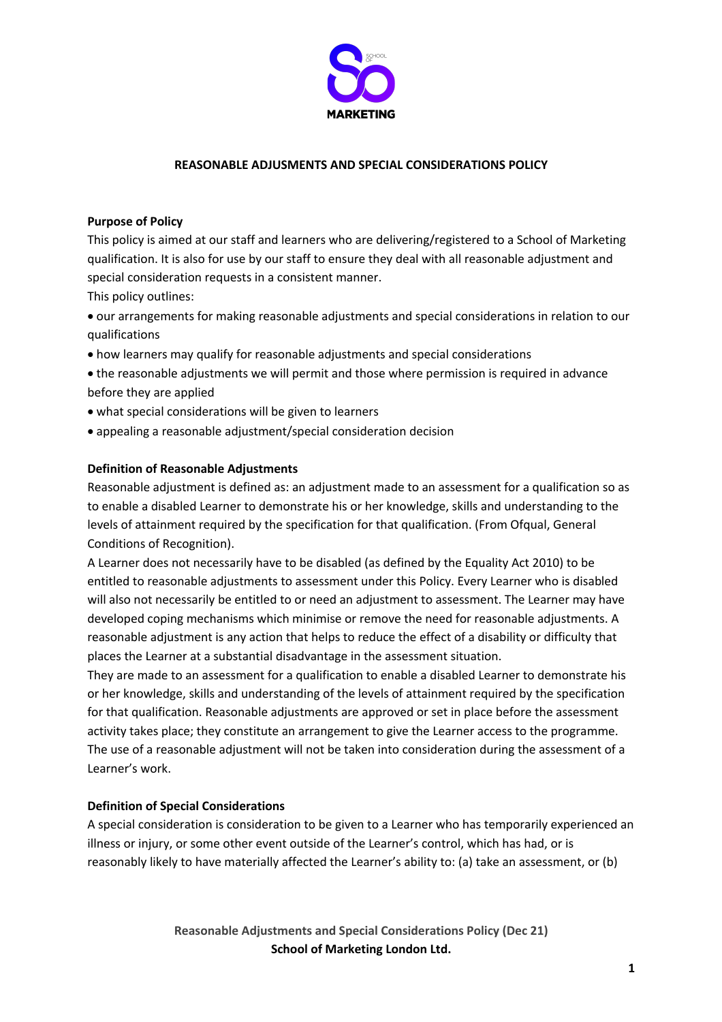

## **REASONABLE ADJUSMENTS AND SPECIAL CONSIDERATIONS POLICY**

# **Purpose of Policy**

This policy is aimed at our staff and learners who are delivering/registered to a School of Marketing qualification. It is also for use by our staff to ensure they deal with all reasonable adjustment and special consideration requests in a consistent manner.

This policy outlines:

- our arrangements for making reasonable adjustments and special considerations in relation to our qualifications
- how learners may qualify for reasonable adjustments and special considerations
- the reasonable adjustments we will permit and those where permission is required in advance before they are applied
- what special considerations will be given to learners
- appealing a reasonable adjustment/special consideration decision

### **Definition of Reasonable Adjustments**

Reasonable adjustment is defined as: an adjustment made to an assessment for a qualification so as to enable a disabled Learner to demonstrate his or her knowledge, skills and understanding to the levels of attainment required by the specification for that qualification. (From Ofqual, General Conditions of Recognition).

A Learner does not necessarily have to be disabled (as defined by the Equality Act 2010) to be entitled to reasonable adjustments to assessment under this Policy. Every Learner who is disabled will also not necessarily be entitled to or need an adjustment to assessment. The Learner may have developed coping mechanisms which minimise or remove the need for reasonable adjustments. A reasonable adjustment is any action that helps to reduce the effect of a disability or difficulty that places the Learner at a substantial disadvantage in the assessment situation.

They are made to an assessment for a qualification to enable a disabled Learner to demonstrate his or her knowledge, skills and understanding of the levels of attainment required by the specification for that qualification. Reasonable adjustments are approved or set in place before the assessment activity takes place; they constitute an arrangement to give the Learner access to the programme. The use of a reasonable adjustment will not be taken into consideration during the assessment of a Learner's work.

### **Definition of Special Considerations**

A special consideration is consideration to be given to a Learner who has temporarily experienced an illness or injury, or some other event outside of the Learner's control, which has had, or is reasonably likely to have materially affected the Learner's ability to: (a) take an assessment, or (b)

> **Reasonable Adjustments and Special Considerations Policy (Dec 21) School of Marketing London Ltd.**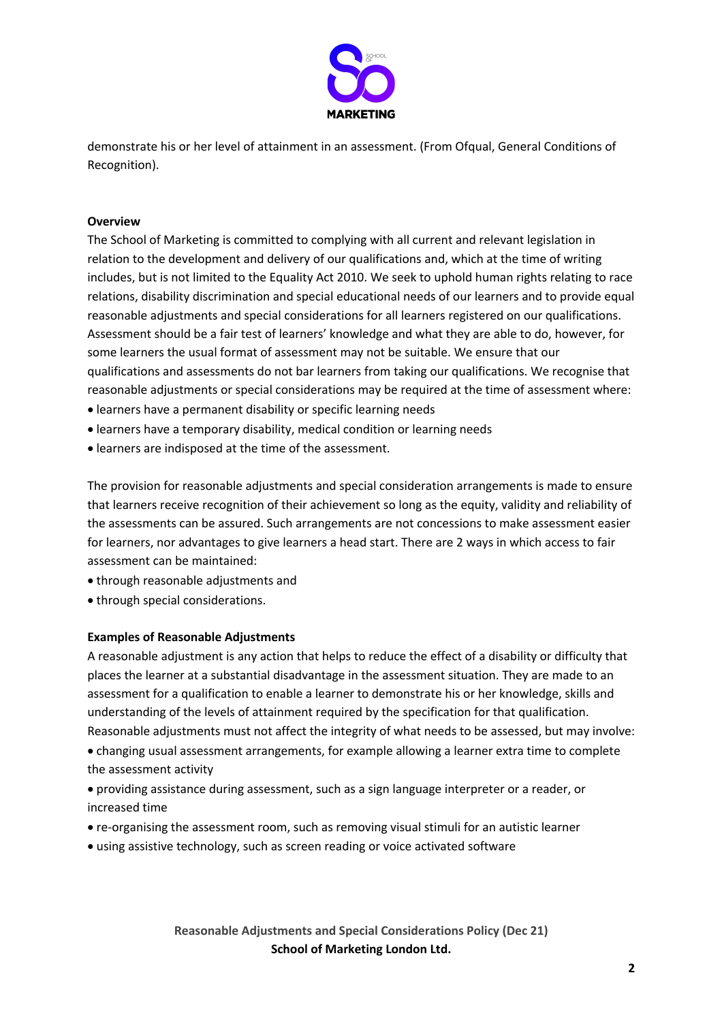

demonstrate his or her level of attainment in an assessment. (From Ofqual, General Conditions of Recognition).

# **Overview**

The School of Marketing is committed to complying with all current and relevant legislation in relation to the development and delivery of our qualifications and, which at the time of writing includes, but is not limited to the Equality Act 2010. We seek to uphold human rights relating to race relations, disability discrimination and special educational needs of our learners and to provide equal reasonable adjustments and special considerations for all learners registered on our qualifications. Assessment should be a fair test of learners' knowledge and what they are able to do, however, for some learners the usual format of assessment may not be suitable. We ensure that our qualifications and assessments do not bar learners from taking our qualifications. We recognise that reasonable adjustments or special considerations may be required at the time of assessment where:

- learners have a permanent disability or specific learning needs
- learners have a temporary disability, medical condition or learning needs
- learners are indisposed at the time of the assessment.

The provision for reasonable adjustments and special consideration arrangements is made to ensure that learners receive recognition of their achievement so long as the equity, validity and reliability of the assessments can be assured. Such arrangements are not concessions to make assessment easier for learners, nor advantages to give learners a head start. There are 2 ways in which access to fair assessment can be maintained:

- through reasonable adjustments and
- through special considerations.

#### **Examples of Reasonable Adjustments**

A reasonable adjustment is any action that helps to reduce the effect of a disability or difficulty that places the learner at a substantial disadvantage in the assessment situation. They are made to an assessment for a qualification to enable a learner to demonstrate his or her knowledge, skills and understanding of the levels of attainment required by the specification for that qualification. Reasonable adjustments must not affect the integrity of what needs to be assessed, but may involve: • changing usual assessment arrangements, for example allowing a learner extra time to complete the assessment activity

- providing assistance during assessment, such as a sign language interpreter or a reader, or increased time
- re-organising the assessment room, such as removing visual stimuli for an autistic learner
- using assistive technology, such as screen reading or voice activated software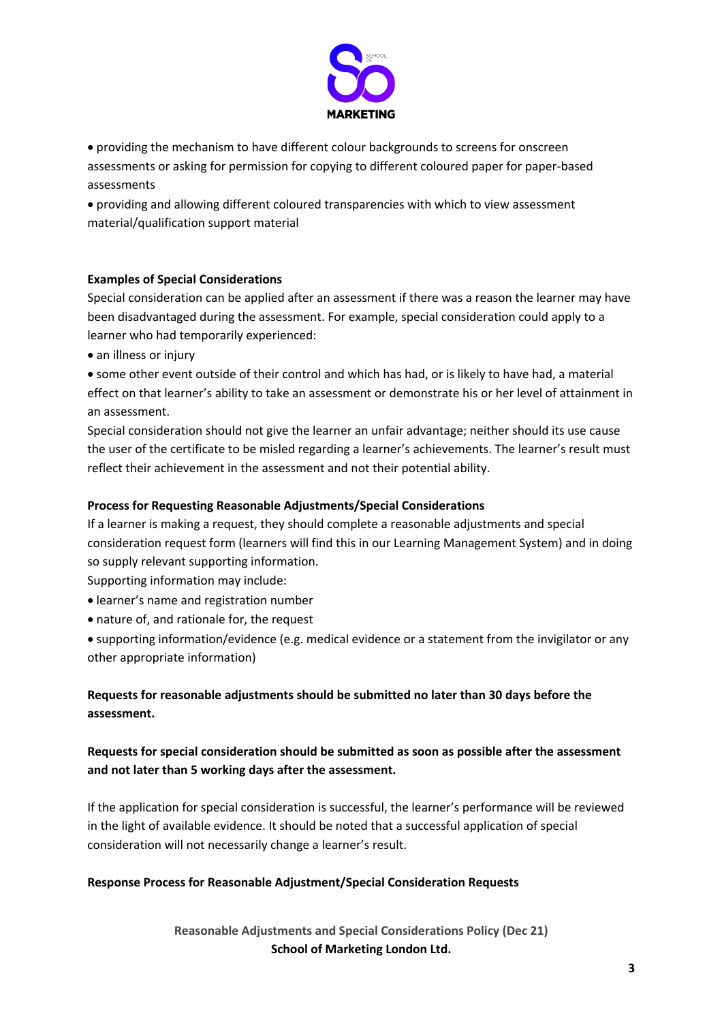

• providing the mechanism to have different colour backgrounds to screens for onscreen assessments or asking for permission for copying to different coloured paper for paper-based assessments

• providing and allowing different coloured transparencies with which to view assessment material/qualification support material

# **Examples of Special Considerations**

Special consideration can be applied after an assessment if there was a reason the learner may have been disadvantaged during the assessment. For example, special consideration could apply to a learner who had temporarily experienced:

• an illness or injury

• some other event outside of their control and which has had, or is likely to have had, a material effect on that learner's ability to take an assessment or demonstrate his or her level of attainment in an assessment.

Special consideration should not give the learner an unfair advantage; neither should its use cause the user of the certificate to be misled regarding a learner's achievements. The learner's result must reflect their achievement in the assessment and not their potential ability.

# **Process for Requesting Reasonable Adjustments/Special Considerations**

If a learner is making a request, they should complete a reasonable adjustments and special consideration request form (learners will find this in our Learning Management System) and in doing so supply relevant supporting information.

Supporting information may include:

- learner's name and registration number
- nature of, and rationale for, the request
- supporting information/evidence (e.g. medical evidence or a statement from the invigilator or any other appropriate information)

# **Requests for reasonable adjustments should be submitted no later than 30 days before the assessment.**

# **Requests for special consideration should be submitted as soon as possible after the assessment and not later than 5 working days after the assessment.**

If the application for special consideration is successful, the learner's performance will be reviewed in the light of available evidence. It should be noted that a successful application of special consideration will not necessarily change a learner's result.

# **Response Process for Reasonable Adjustment/Special Consideration Requests**

**Reasonable Adjustments and Special Considerations Policy (Dec 21) School of Marketing London Ltd.**